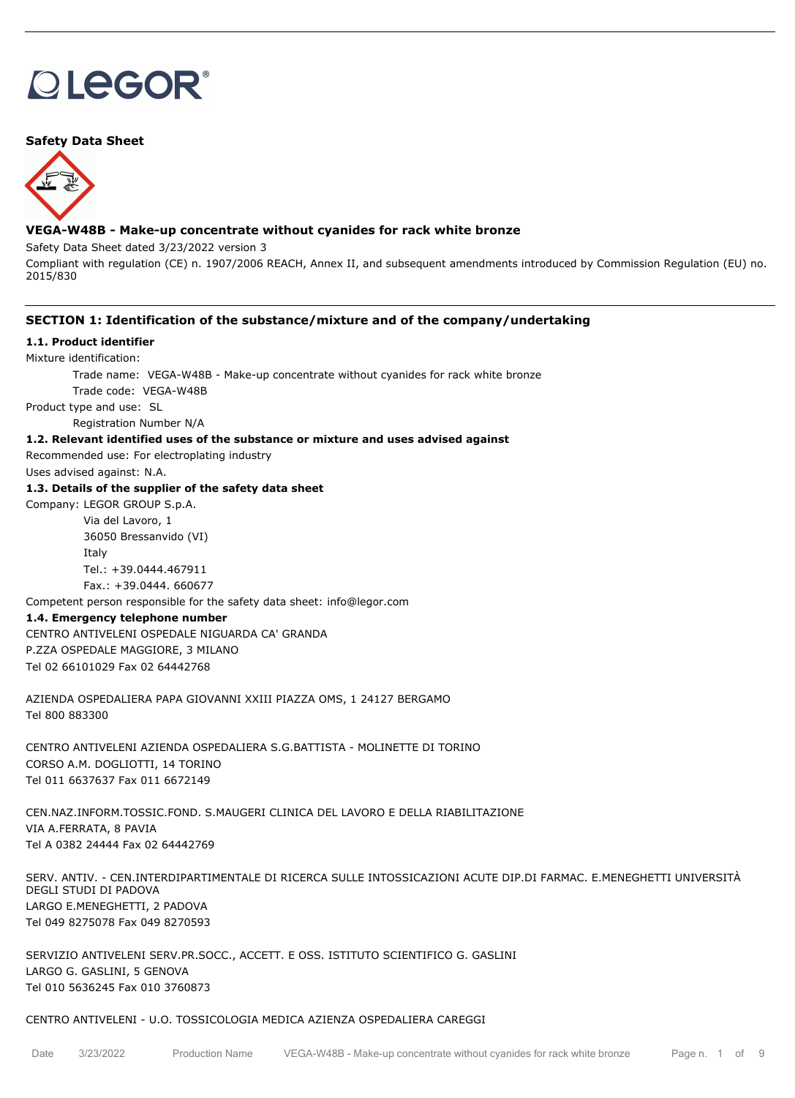# **DLEGOR®**

# **Safety Data Sheet**



# **VEGA-W48B - Make-up concentrate without cyanides for rack white bronze**

Safety Data Sheet dated 3/23/2022 version 3

Compliant with regulation (CE) n. 1907/2006 REACH, Annex II, and subsequent amendments introduced by Commission Regulation (EU) no. 2015/830

## **SECTION 1: Identification of the substance/mixture and of the company/undertaking**

#### **1.1. Product identifier**

Mixture identification:

Trade name: VEGA-W48B - Make-up concentrate without cyanides for rack white bronze

Trade code: VEGA-W48B

Product type and use: SL

Registration Number N/A

# **1.2. Relevant identified uses of the substance or mixture and uses advised against**

Recommended use: For electroplating industry

Uses advised against: N.A.

# **1.3. Details of the supplier of the safety data sheet**

Company: LEGOR GROUP S.p.A. Via del Lavoro, 1 36050 Bressanvido (VI) Italy Tel.: +39.0444.467911

Fax.: +39.0444. 660677

Competent person responsible for the safety data sheet: info@legor.com

## **1.4. Emergency telephone number**

CENTRO ANTIVELENI OSPEDALE NIGUARDA CA' GRANDA P.ZZA OSPEDALE MAGGIORE, 3 MILANO Tel 02 66101029 Fax 02 64442768

AZIENDA OSPEDALIERA PAPA GIOVANNI XXIII PIAZZA OMS, 1 24127 BERGAMO Tel 800 883300

CENTRO ANTIVELENI AZIENDA OSPEDALIERA S.G.BATTISTA - MOLINETTE DI TORINO CORSO A.M. DOGLIOTTI, 14 TORINO Tel 011 6637637 Fax 011 6672149

CEN.NAZ.INFORM.TOSSIC.FOND. S.MAUGERI CLINICA DEL LAVORO E DELLA RIABILITAZIONE VIA A.FERRATA, 8 PAVIA Tel A 0382 24444 Fax 02 64442769

SERV. ANTIV. - CEN.INTERDIPARTIMENTALE DI RICERCA SULLE INTOSSICAZIONI ACUTE DIP.DI FARMAC. E.MENEGHETTI UNIVERSITÀ DEGLI STUDI DI PADOVA LARGO E.MENEGHETTI, 2 PADOVA Tel 049 8275078 Fax 049 8270593

SERVIZIO ANTIVELENI SERV.PR.SOCC., ACCETT. E OSS. ISTITUTO SCIENTIFICO G. GASLINI LARGO G. GASLINI, 5 GENOVA Tel 010 5636245 Fax 010 3760873

#### CENTRO ANTIVELENI - U.O. TOSSICOLOGIA MEDICA AZIENZA OSPEDALIERA CAREGGI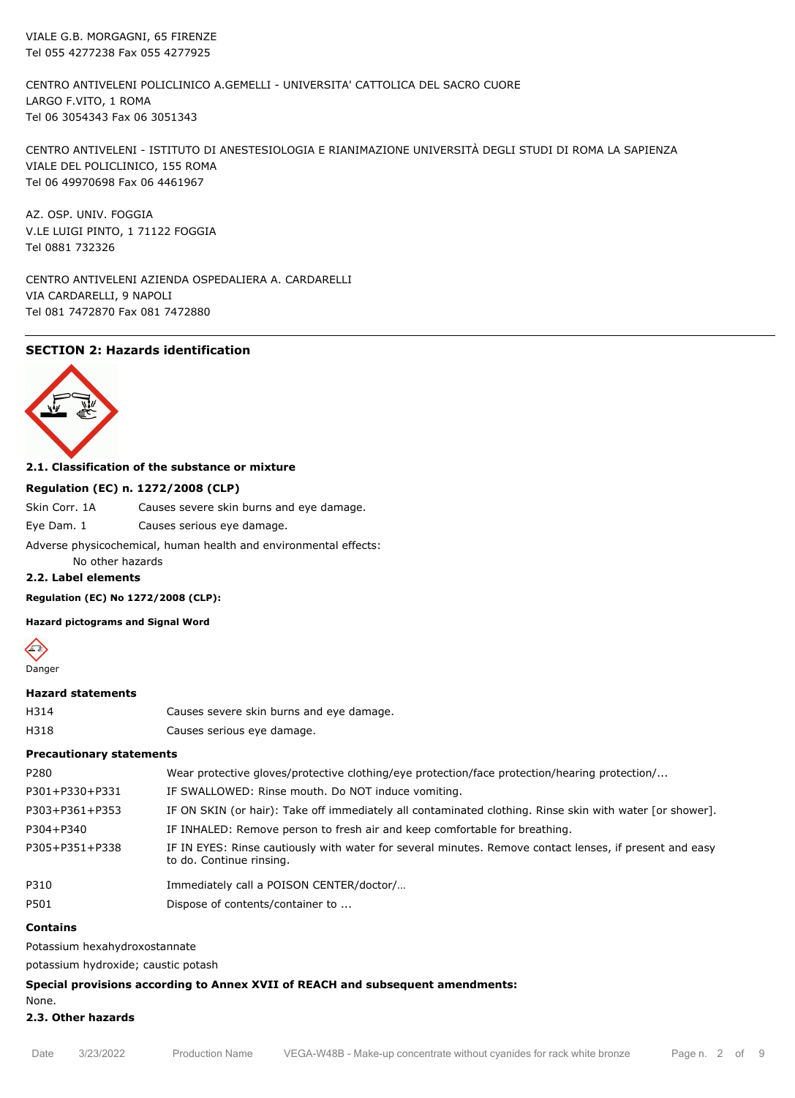VIALE G.B. MORGAGNI, 65 FIRENZE Tel 055 4277238 Fax 055 4277925

CENTRO ANTIVELENI POLICLINICO A.GEMELLI - UNIVERSITA' CATTOLICA DEL SACRO CUORE LARGO F.VITO, 1 ROMA Tel 06 3054343 Fax 06 3051343

CENTRO ANTIVELENI - ISTITUTO DI ANESTESIOLOGIA E RIANIMAZIONE UNIVERSITÀ DEGLI STUDI DI ROMA LA SAPIENZA VIALE DEL POLICLINICO, 155 ROMA Tel 06 49970698 Fax 06 4461967

AZ. OSP. UNIV. FOGGIA V.LE LUIGI PINTO, 1 71122 FOGGIA Tel 0881 732326

CENTRO ANTIVELENI AZIENDA OSPEDALIERA A. CARDARELLI VIA CARDARELLI, 9 NAPOLI Tel 081 7472870 Fax 081 7472880

# **SECTION 2: Hazards identification**



#### **2.1. Classification of the substance or mixture**

#### **Regulation (EC) n. 1272/2008 (CLP)**

Skin Corr. 1A Causes severe skin burns and eye damage.

Eye Dam. 1 Causes serious eye damage.

Adverse physicochemical, human health and environmental effects:

No other hazards

# **2.2. Label elements**

**Regulation (EC) No 1272/2008 (CLP):**

**Hazard pictograms and Signal Word**



#### **Hazard statements**

H314 Causes severe skin burns and eye damage. H318 Causes serious eye damage.

#### **Precautionary statements**

| P280           | Wear protective gloves/protective clothing/eye protection/face protection/hearing protection/                                       |
|----------------|-------------------------------------------------------------------------------------------------------------------------------------|
| P301+P330+P331 | IF SWALLOWED: Rinse mouth. Do NOT induce vomiting.                                                                                  |
| P303+P361+P353 | IF ON SKIN (or hair): Take off immediately all contaminated clothing. Rinse skin with water [or shower].                            |
| P304+P340      | IF INHALED: Remove person to fresh air and keep comfortable for breathing.                                                          |
| P305+P351+P338 | IF IN EYES: Rinse cautiously with water for several minutes. Remove contact lenses, if present and easy<br>to do. Continue rinsing. |
| P310           | Immediately call a POISON CENTER/doctor/                                                                                            |
| P501           | Dispose of contents/container to                                                                                                    |

#### **Contains**

Potassium hexahydroxostannate

potassium hydroxide; caustic potash

#### **Special provisions according to Annex XVII of REACH and subsequent amendments:**

None.

#### **2.3. Other hazards**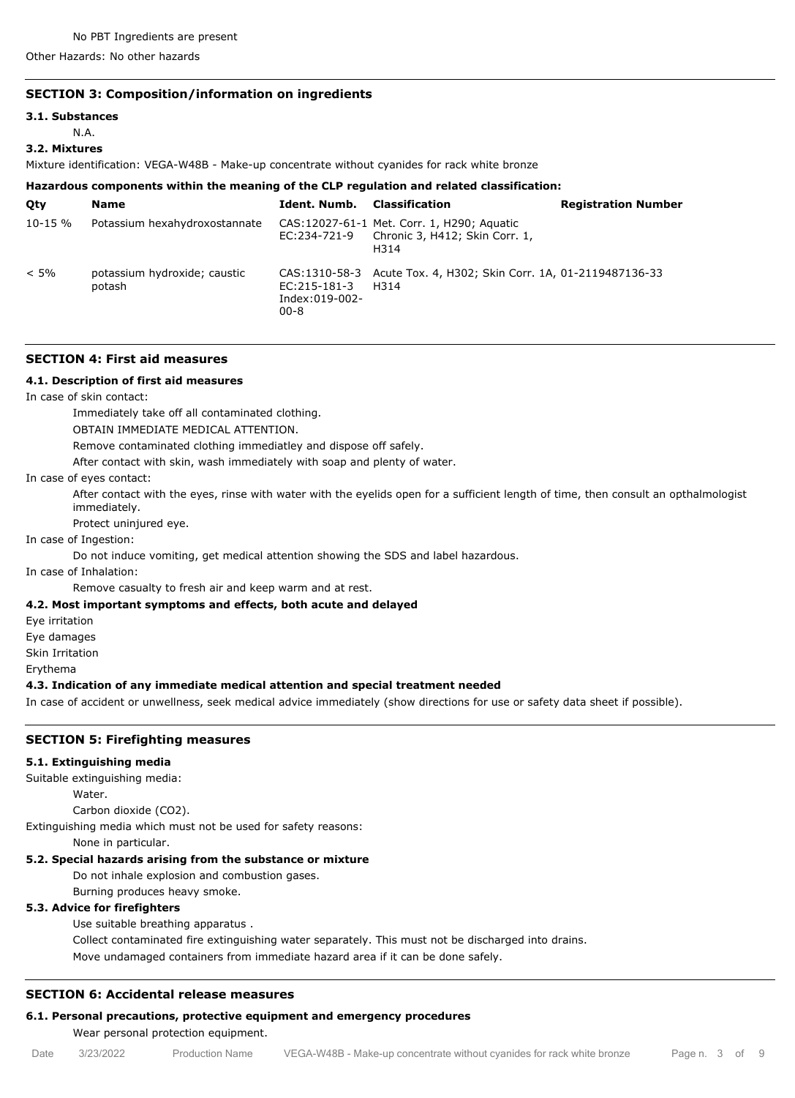Other Hazards: No other hazards

# **SECTION 3: Composition/information on ingredients**

# **3.1. Substances**

N.A.

#### **3.2. Mixtures**

Mixture identification: VEGA-W48B - Make-up concentrate without cyanides for rack white bronze

# **Hazardous components within the meaning of the CLP regulation and related classification:**

| Oty          | <b>Name</b>                            | Ident. Numb.                               | Classification                                                                                     | <b>Registration Number</b> |
|--------------|----------------------------------------|--------------------------------------------|----------------------------------------------------------------------------------------------------|----------------------------|
| $10 - 15 \%$ | Potassium hexahydroxostannate          |                                            | CAS: 12027-61-1 Met. Corr. 1, H290; Aquatic<br>EC:234-721-9 Chronic 3, H412; Skin Corr. 1,<br>H314 |                            |
| $< 5\%$      | potassium hydroxide; caustic<br>potash | EC:215-181-3<br>Index:019-002-<br>$00 - 8$ | CAS:1310-58-3 Acute Tox. 4, H302; Skin Corr. 1A, 01-2119487136-33<br>H314                          |                            |

#### **SECTION 4: First aid measures**

## **4.1. Description of first aid measures**

In case of skin contact:

Immediately take off all contaminated clothing.

OBTAIN IMMEDIATE MEDICAL ATTENTION.

Remove contaminated clothing immediatley and dispose off safely.

After contact with skin, wash immediately with soap and plenty of water.

#### In case of eyes contact:

After contact with the eyes, rinse with water with the eyelids open for a sufficient length of time, then consult an opthalmologist immediately.

Protect uninjured eye.

# In case of Ingestion:

Do not induce vomiting, get medical attention showing the SDS and label hazardous.

In case of Inhalation:

Remove casualty to fresh air and keep warm and at rest.

# **4.2. Most important symptoms and effects, both acute and delayed**

Eye irritation

Eye damages

Skin Irritation

Erythema

## **4.3. Indication of any immediate medical attention and special treatment needed**

In case of accident or unwellness, seek medical advice immediately (show directions for use or safety data sheet if possible).

# **SECTION 5: Firefighting measures**

#### **5.1. Extinguishing media**

Suitable extinguishing media:

Water.

Carbon dioxide (CO2).

Extinguishing media which must not be used for safety reasons:

None in particular.

# **5.2. Special hazards arising from the substance or mixture**

Do not inhale explosion and combustion gases.

Burning produces heavy smoke.

# **5.3. Advice for firefighters**

Use suitable breathing apparatus .

Collect contaminated fire extinguishing water separately. This must not be discharged into drains.

Move undamaged containers from immediate hazard area if it can be done safely.

# **SECTION 6: Accidental release measures**

# **6.1. Personal precautions, protective equipment and emergency procedures**

Wear personal protection equipment.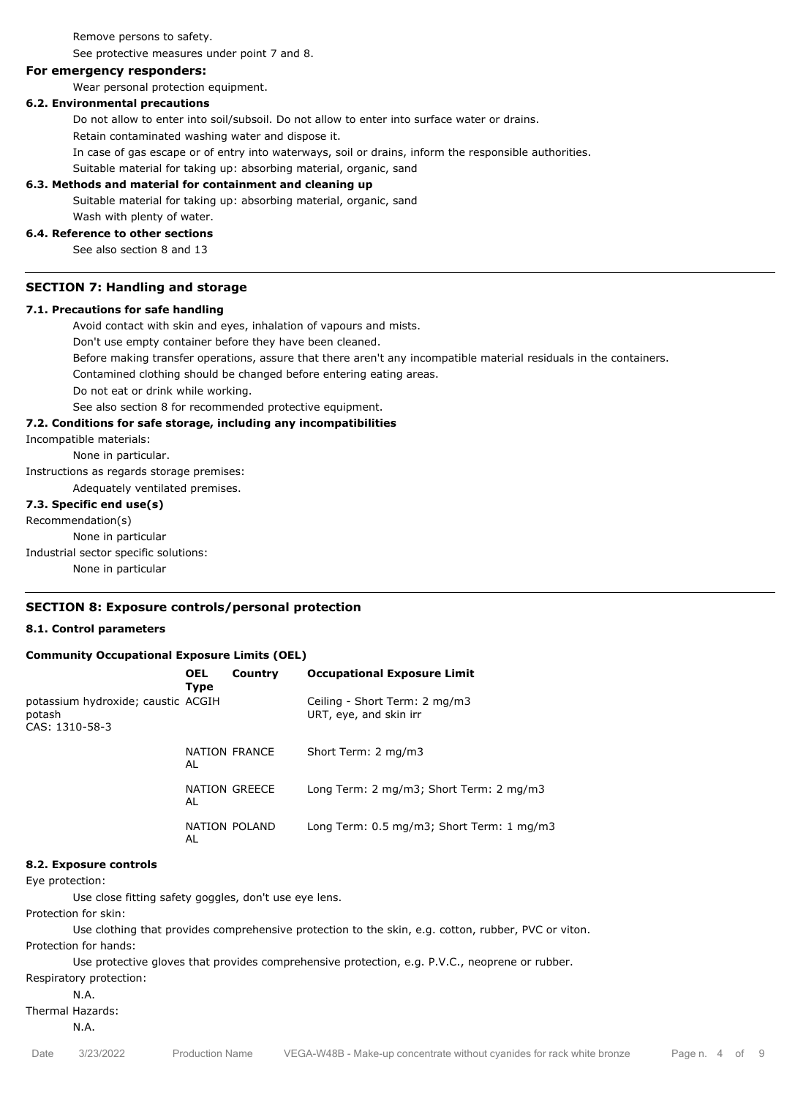Remove persons to safety.

See protective measures under point 7 and 8.

#### **For emergency responders:**

Wear personal protection equipment.

# **6.2. Environmental precautions**

Do not allow to enter into soil/subsoil. Do not allow to enter into surface water or drains.

Retain contaminated washing water and dispose it.

In case of gas escape or of entry into waterways, soil or drains, inform the responsible authorities.

Suitable material for taking up: absorbing material, organic, sand

#### **6.3. Methods and material for containment and cleaning up**

Suitable material for taking up: absorbing material, organic, sand

#### Wash with plenty of water.

#### **6.4. Reference to other sections**

See also section 8 and 13

#### **SECTION 7: Handling and storage**

#### **7.1. Precautions for safe handling**

Avoid contact with skin and eyes, inhalation of vapours and mists.

Don't use empty container before they have been cleaned.

Before making transfer operations, assure that there aren't any incompatible material residuals in the containers.

Contamined clothing should be changed before entering eating areas.

Do not eat or drink while working.

See also section 8 for recommended protective equipment.

#### **7.2. Conditions for safe storage, including any incompatibilities**

Incompatible materials:

None in particular.

Instructions as regards storage premises:

Adequately ventilated premises.

# **7.3. Specific end use(s)**

Recommendation(s)

None in particular

Industrial sector specific solutions:

None in particular

# **SECTION 8: Exposure controls/personal protection**

#### **8.1. Control parameters**

#### **Community Occupational Exposure Limits (OEL)**

|                                                                | <b>OEL</b><br>Type | Country       | <b>Occupational Exposure Limit</b>                      |
|----------------------------------------------------------------|--------------------|---------------|---------------------------------------------------------|
| potassium hydroxide; caustic ACGIH<br>potash<br>CAS: 1310-58-3 |                    |               | Ceiling - Short Term: 2 mg/m3<br>URT, eye, and skin irr |
|                                                                | AL                 | NATION FRANCE | Short Term: 2 mg/m3                                     |
|                                                                | AL                 | NATION GREECE | Long Term: 2 mg/m3; Short Term: 2 mg/m3                 |
|                                                                | AL                 | NATION POLAND | Long Term: 0.5 mg/m3; Short Term: 1 mg/m3               |

#### **8.2. Exposure controls**

Eye protection:

Use close fitting safety goggles, don't use eye lens.

Protection for skin:

Use clothing that provides comprehensive protection to the skin, e.g. cotton, rubber, PVC or viton. Protection for hands:

Use protective gloves that provides comprehensive protection, e.g. P.V.C., neoprene or rubber.

Respiratory protection:

N.A.

Thermal Hazards: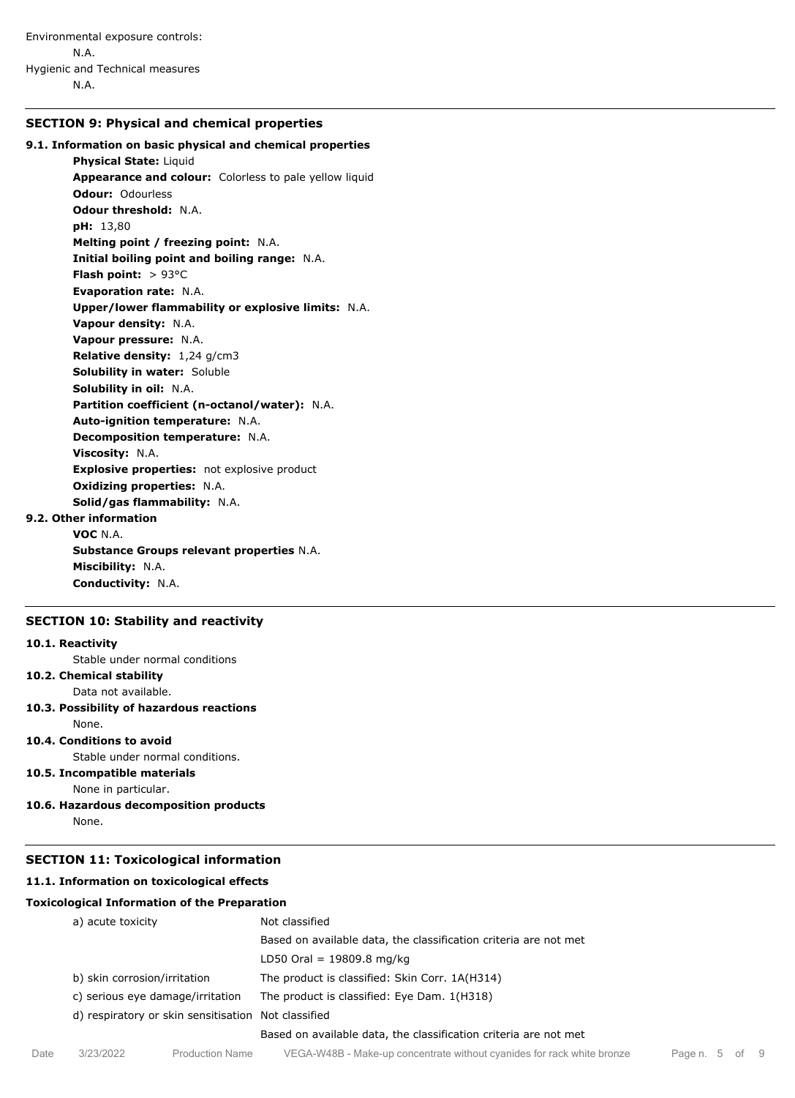# **SECTION 9: Physical and chemical properties**

# **9.1. Information on basic physical and chemical properties**

**Physical State:** Liquid **Appearance and colour:** Colorless to pale yellow liquid **Odour:** Odourless **Odour threshold:** N.A. **pH:** 13,80 **Melting point / freezing point:** N.A. **Initial boiling point and boiling range:** N.A. **Flash point:** > 93°C **Evaporation rate:** N.A. **Upper/lower flammability or explosive limits:** N.A. **Vapour density:** N.A. **Vapour pressure:** N.A. **Relative density:** 1,24 g/cm3 **Solubility in water:** Soluble **Solubility in oil:** N.A. **Partition coefficient (n-octanol/water):** N.A. **Auto-ignition temperature:** N.A. **Decomposition temperature:** N.A. **Viscosity:** N.A. **Explosive properties:** not explosive product **Oxidizing properties:** N.A. **Solid/gas flammability:** N.A.

# **9.2. Other information**

**VOC** N.A. **Substance Groups relevant properties** N.A. **Miscibility:** N.A. **Conductivity:** N.A.

# **SECTION 10: Stability and reactivity**

#### **10.1. Reactivity**

Stable under normal conditions

# **10.2. Chemical stability**

Data not available.

# **10.3. Possibility of hazardous reactions**

None.

# **10.4. Conditions to avoid**

Stable under normal conditions.

**10.5. Incompatible materials**

None in particular.

**10.6. Hazardous decomposition products** None.

#### **SECTION 11: Toxicological information**

#### **11.1. Information on toxicological effects**

#### **Toxicological Information of the Preparation**

|      | a) acute toxicity<br>b) skin corrosion/irritation<br>c) serious eye damage/irritation<br>d) respiratory or skin sensitisation Not classified |                 | Not classified                                                         |                |  |  |
|------|----------------------------------------------------------------------------------------------------------------------------------------------|-----------------|------------------------------------------------------------------------|----------------|--|--|
|      |                                                                                                                                              |                 | Based on available data, the classification criteria are not met       |                |  |  |
|      |                                                                                                                                              |                 | LD50 Oral = $19809.8$ mg/kg                                            |                |  |  |
|      |                                                                                                                                              |                 | The product is classified: Skin Corr. 1A(H314)                         |                |  |  |
|      |                                                                                                                                              |                 | The product is classified: Eye Dam. 1(H318)                            |                |  |  |
|      |                                                                                                                                              |                 |                                                                        |                |  |  |
|      |                                                                                                                                              |                 | Based on available data, the classification criteria are not met       |                |  |  |
| Date | 3/23/2022                                                                                                                                    | Production Name | VEGA-W48B - Make-up concentrate without cyanides for rack white bronze | Page n. 5 of 9 |  |  |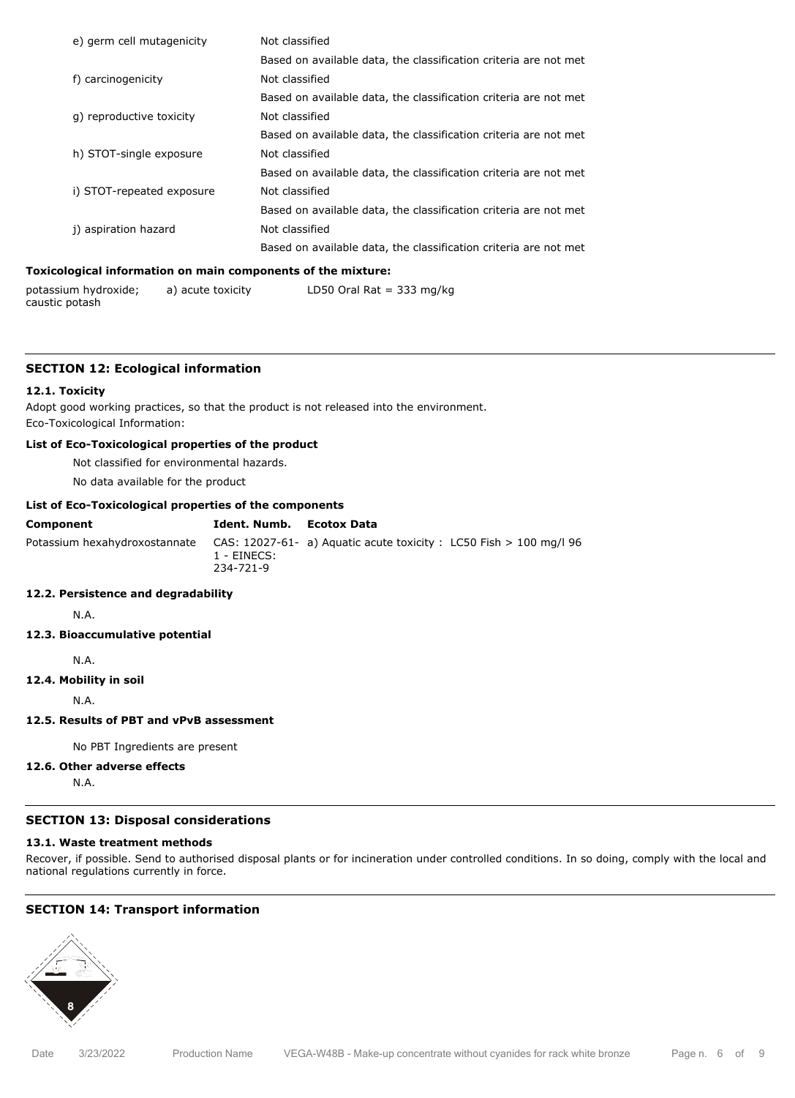| e) germ cell mutagenicity | Not classified                                                   |
|---------------------------|------------------------------------------------------------------|
|                           | Based on available data, the classification criteria are not met |
| f) carcinogenicity        | Not classified                                                   |
|                           | Based on available data, the classification criteria are not met |
| g) reproductive toxicity  | Not classified                                                   |
|                           | Based on available data, the classification criteria are not met |
| h) STOT-single exposure   | Not classified                                                   |
|                           | Based on available data, the classification criteria are not met |
| i) STOT-repeated exposure | Not classified                                                   |
|                           | Based on available data, the classification criteria are not met |
| i) aspiration hazard      | Not classified                                                   |
|                           | Based on available data, the classification criteria are not met |
|                           |                                                                  |

#### **Toxicological information on main components of the mixture:**

| potassium hydroxide; | a) acute toxicity | LD50 Oral Rat = 333 mg/kg |
|----------------------|-------------------|---------------------------|
| caustic potash       |                   |                           |

#### **SECTION 12: Ecological information**

#### **12.1. Toxicity**

Adopt good working practices, so that the product is not released into the environment. Eco-Toxicological Information:

# **List of Eco-Toxicological properties of the product**

Not classified for environmental hazards.

No data available for the product

# **List of Eco-Toxicological properties of the components**

| <b>Component</b> | Ident. Numb. Ecotox Data    |                                                                                                 |
|------------------|-----------------------------|-------------------------------------------------------------------------------------------------|
|                  | $1 - EINECS$ :<br>234-721-9 | Potassium hexahydroxostannate CAS: 12027-61- a) Aguatic acute toxicity: LC50 Fish > 100 mg/l 96 |

# **12.2. Persistence and degradability**

N.A.

# **12.3. Bioaccumulative potential**

#### N.A.

**12.4. Mobility in soil**

N.A.

# **12.5. Results of PBT and vPvB assessment**

No PBT Ingredients are present

# **12.6. Other adverse effects**

N.A.

# **SECTION 13: Disposal considerations**

# **13.1. Waste treatment methods**

Recover, if possible. Send to authorised disposal plants or for incineration under controlled conditions. In so doing, comply with the local and national regulations currently in force.

# **SECTION 14: Transport information**

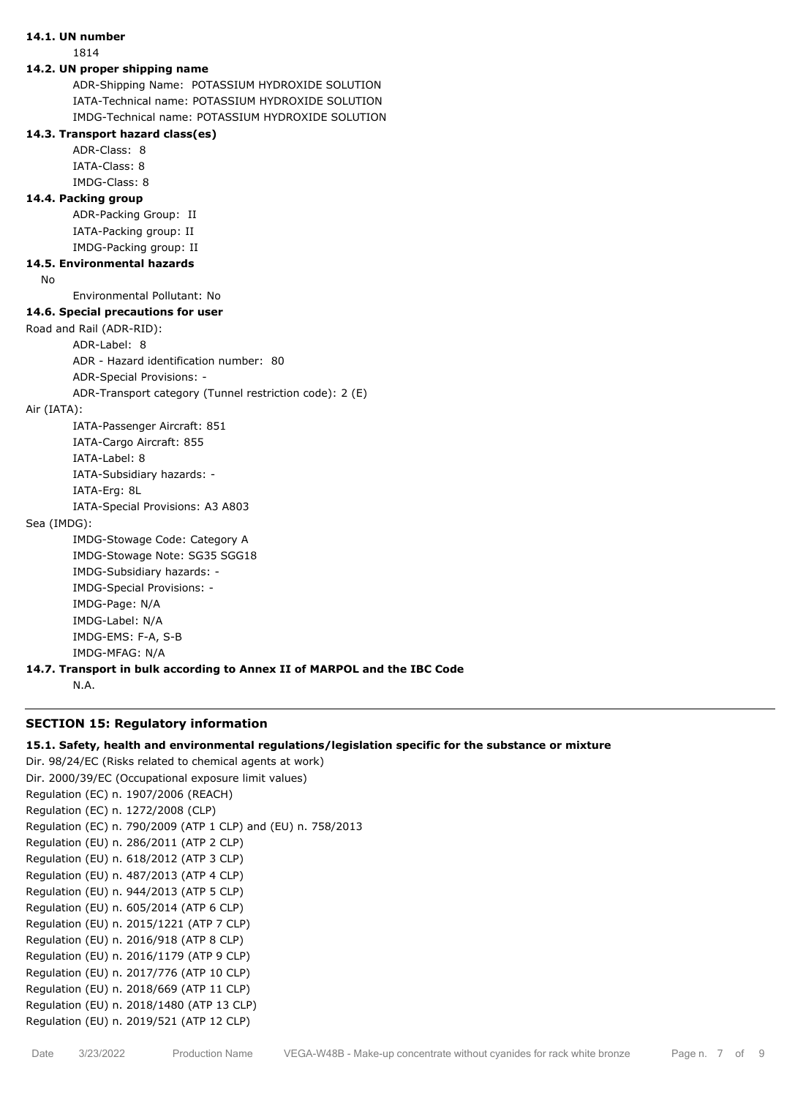# **14.1. UN number**

1814

#### **14.2. UN proper shipping name**

ADR-Shipping Name: POTASSIUM HYDROXIDE SOLUTION IATA-Technical name: POTASSIUM HYDROXIDE SOLUTION IMDG-Technical name: POTASSIUM HYDROXIDE SOLUTION

# **14.3. Transport hazard class(es)**

ADR-Class: 8 IATA-Class: 8

#### IMDG-Class: 8

#### **14.4. Packing group**

ADR-Packing Group: II IATA-Packing group: II IMDG-Packing group: II

# **14.5. Environmental hazards**

No

# Environmental Pollutant: No

**14.6. Special precautions for user**

Road and Rail (ADR-RID):

ADR-Label: 8

ADR - Hazard identification number: 80

ADR-Special Provisions: -

ADR-Transport category (Tunnel restriction code): 2 (E)

Air (IATA):

IATA-Passenger Aircraft: 851 IATA-Cargo Aircraft: 855 IATA-Label: 8 IATA-Subsidiary hazards: -

IATA-Erg: 8L

IATA-Special Provisions: A3 A803

# Sea (IMDG):

IMDG-Stowage Code: Category A IMDG-Stowage Note: SG35 SGG18 IMDG-Subsidiary hazards: - IMDG-Special Provisions: - IMDG-Page: N/A IMDG-Label: N/A IMDG-EMS: F-A, S-B IMDG-MFAG: N/A

# **14.7. Transport in bulk according to Annex II of MARPOL and the IBC Code**

N.A.

# **SECTION 15: Regulatory information**

## **15.1. Safety, health and environmental regulations/legislation specific for the substance or mixture**

Dir. 98/24/EC (Risks related to chemical agents at work) Dir. 2000/39/EC (Occupational exposure limit values) Regulation (EC) n. 1907/2006 (REACH) Regulation (EC) n. 1272/2008 (CLP) Regulation (EC) n. 790/2009 (ATP 1 CLP) and (EU) n. 758/2013 Regulation (EU) n. 286/2011 (ATP 2 CLP) Regulation (EU) n. 618/2012 (ATP 3 CLP) Regulation (EU) n. 487/2013 (ATP 4 CLP) Regulation (EU) n. 944/2013 (ATP 5 CLP) Regulation (EU) n. 605/2014 (ATP 6 CLP) Regulation (EU) n. 2015/1221 (ATP 7 CLP) Regulation (EU) n. 2016/918 (ATP 8 CLP) Regulation (EU) n. 2016/1179 (ATP 9 CLP) Regulation (EU) n. 2017/776 (ATP 10 CLP) Regulation (EU) n. 2018/669 (ATP 11 CLP) Regulation (EU) n. 2018/1480 (ATP 13 CLP) Regulation (EU) n. 2019/521 (ATP 12 CLP)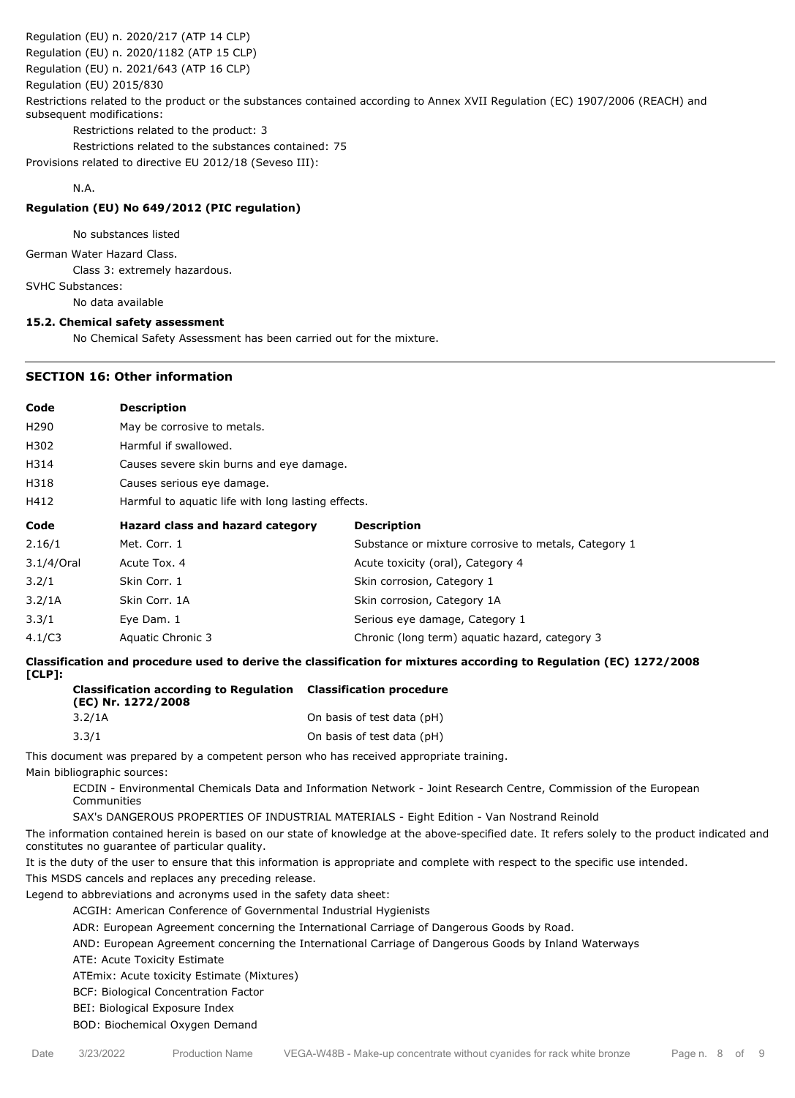Regulation (EU) n. 2020/217 (ATP 14 CLP)

Regulation (EU) n. 2020/1182 (ATP 15 CLP)

Regulation (EU) n. 2021/643 (ATP 16 CLP)

Regulation (EU) 2015/830

Restrictions related to the product or the substances contained according to Annex XVII Regulation (EC) 1907/2006 (REACH) and subsequent modifications:

Restrictions related to the product: 3

Restrictions related to the substances contained: 75

Provisions related to directive EU 2012/18 (Seveso III):

N.A.

# **Regulation (EU) No 649/2012 (PIC regulation)**

No substances listed

German Water Hazard Class.

Class 3: extremely hazardous.

SVHC Substances:

No data available

# **15.2. Chemical safety assessment**

No Chemical Safety Assessment has been carried out for the mixture.

# **SECTION 16: Other information**

| Code             | <b>Description</b>                                 |                                                      |  |
|------------------|----------------------------------------------------|------------------------------------------------------|--|
| H <sub>290</sub> | May be corrosive to metals.                        |                                                      |  |
| H302             | Harmful if swallowed.                              |                                                      |  |
| H314             | Causes severe skin burns and eye damage.           |                                                      |  |
| H318             | Causes serious eye damage.                         |                                                      |  |
| H412             | Harmful to aquatic life with long lasting effects. |                                                      |  |
| Code             | Hazard class and hazard category                   | <b>Description</b>                                   |  |
| 2.16/1           | Met. Corr. 1                                       | Substance or mixture corrosive to metals, Category 1 |  |
| 3.1/4/Oral       | Acute Tox, 4                                       | Acute toxicity (oral), Category 4                    |  |
| 3.2/1            | Skin Corr. 1                                       | Skin corrosion, Category 1                           |  |
| 3.2/1A           | Skin Corr, 1A                                      | Skin corrosion, Category 1A                          |  |
| 3.3/1            | Eye Dam. 1                                         | Serious eye damage, Category 1                       |  |
| 4.1/C3           | Aquatic Chronic 3                                  | Chronic (long term) aquatic hazard, category 3       |  |

**Classification and procedure used to derive the classification for mixtures according to Regulation (EC) 1272/2008 [CLP]:**

| <b>Classification according to Regulation</b><br>(EC) Nr. 1272/2008 | <b>Classification procedure</b> |
|---------------------------------------------------------------------|---------------------------------|
| 3.2/1A                                                              | On basis of test data (pH)      |
| 3.3/1                                                               | On basis of test data (pH)      |

This document was prepared by a competent person who has received appropriate training.

Main bibliographic sources:

ECDIN - Environmental Chemicals Data and Information Network - Joint Research Centre, Commission of the European Communities

SAX's DANGEROUS PROPERTIES OF INDUSTRIAL MATERIALS - Eight Edition - Van Nostrand Reinold

The information contained herein is based on our state of knowledge at the above-specified date. It refers solely to the product indicated and constitutes no guarantee of particular quality.

It is the duty of the user to ensure that this information is appropriate and complete with respect to the specific use intended.

This MSDS cancels and replaces any preceding release.

Legend to abbreviations and acronyms used in the safety data sheet:

ACGIH: American Conference of Governmental Industrial Hygienists

ADR: European Agreement concerning the International Carriage of Dangerous Goods by Road.

AND: European Agreement concerning the International Carriage of Dangerous Goods by Inland Waterways

ATE: Acute Toxicity Estimate

ATEmix: Acute toxicity Estimate (Mixtures)

BCF: Biological Concentration Factor

BEI: Biological Exposure Index

BOD: Biochemical Oxygen Demand